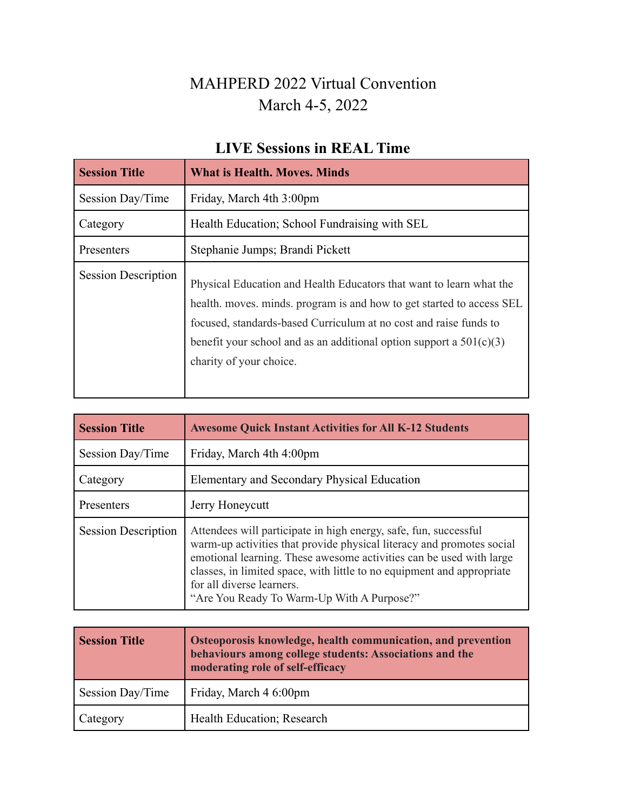### MAHPERD 2022 Virtual Convention March 4-5, 2022

#### **LIVE Sessions in REAL Time**

| <b>Session Title</b>       | <b>What is Health. Moves. Minds</b>                                                                                                                                                                                                                                                                                   |
|----------------------------|-----------------------------------------------------------------------------------------------------------------------------------------------------------------------------------------------------------------------------------------------------------------------------------------------------------------------|
| Session Day/Time           | Friday, March 4th 3:00pm                                                                                                                                                                                                                                                                                              |
| Category                   | Health Education; School Fundraising with SEL                                                                                                                                                                                                                                                                         |
| Presenters                 | Stephanie Jumps; Brandi Pickett                                                                                                                                                                                                                                                                                       |
| <b>Session Description</b> | Physical Education and Health Educators that want to learn what the<br>health, moves, minds, program is and how to get started to access SEL<br>focused, standards-based Curriculum at no cost and raise funds to<br>benefit your school and as an additional option support a $501(c)(3)$<br>charity of your choice. |

| <b>Session Title</b>       | <b>Awesome Quick Instant Activities for All K-12 Students</b>                                                                                                                                                                                                                                                                                                         |
|----------------------------|-----------------------------------------------------------------------------------------------------------------------------------------------------------------------------------------------------------------------------------------------------------------------------------------------------------------------------------------------------------------------|
| Session Day/Time           | Friday, March 4th 4:00pm                                                                                                                                                                                                                                                                                                                                              |
| Category                   | Elementary and Secondary Physical Education                                                                                                                                                                                                                                                                                                                           |
| Presenters                 | Jerry Honeycutt                                                                                                                                                                                                                                                                                                                                                       |
| <b>Session Description</b> | Attendees will participate in high energy, safe, fun, successful<br>warm-up activities that provide physical literacy and promotes social<br>emotional learning. These awesome activities can be used with large<br>classes, in limited space, with little to no equipment and appropriate<br>for all diverse learners.<br>"Are You Ready To Warm-Up With A Purpose?" |

| <b>Session Title</b> | Osteoporosis knowledge, health communication, and prevention<br>behaviours among college students: Associations and the<br>moderating role of self-efficacy |
|----------------------|-------------------------------------------------------------------------------------------------------------------------------------------------------------|
| Session Day/Time     | Friday, March 4 6:00pm                                                                                                                                      |
| Category             | Health Education; Research                                                                                                                                  |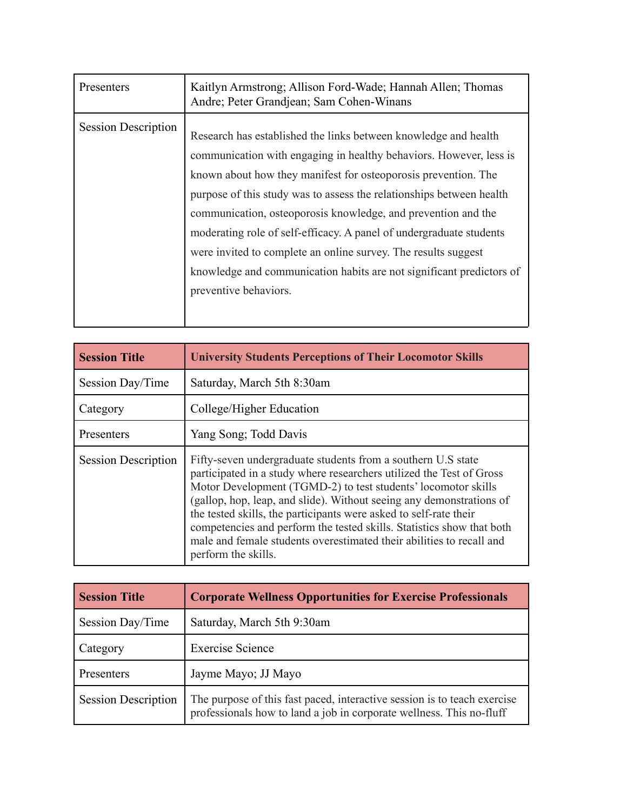| Presenters                 | Kaitlyn Armstrong; Allison Ford-Wade; Hannah Allen; Thomas<br>Andre; Peter Grandjean; Sam Cohen-Winans                                                                                                                                                                                                                                                                                                                                                                                                                                                                                     |
|----------------------------|--------------------------------------------------------------------------------------------------------------------------------------------------------------------------------------------------------------------------------------------------------------------------------------------------------------------------------------------------------------------------------------------------------------------------------------------------------------------------------------------------------------------------------------------------------------------------------------------|
| <b>Session Description</b> | Research has established the links between knowledge and health<br>communication with engaging in healthy behaviors. However, less is<br>known about how they manifest for osteoporosis prevention. The<br>purpose of this study was to assess the relationships between health<br>communication, osteoporosis knowledge, and prevention and the<br>moderating role of self-efficacy. A panel of undergraduate students<br>were invited to complete an online survey. The results suggest<br>knowledge and communication habits are not significant predictors of<br>preventive behaviors. |

| <b>Session Title</b>       | <b>University Students Perceptions of Their Locomotor Skills</b>                                                                                                                                                                                                                                                                                                                                                                                                                                                           |
|----------------------------|----------------------------------------------------------------------------------------------------------------------------------------------------------------------------------------------------------------------------------------------------------------------------------------------------------------------------------------------------------------------------------------------------------------------------------------------------------------------------------------------------------------------------|
| Session Day/Time           | Saturday, March 5th 8:30am                                                                                                                                                                                                                                                                                                                                                                                                                                                                                                 |
| Category                   | College/Higher Education                                                                                                                                                                                                                                                                                                                                                                                                                                                                                                   |
| Presenters                 | Yang Song; Todd Davis                                                                                                                                                                                                                                                                                                                                                                                                                                                                                                      |
| <b>Session Description</b> | Fifty-seven undergraduate students from a southern U.S state<br>participated in a study where researchers utilized the Test of Gross<br>Motor Development (TGMD-2) to test students' locomotor skills<br>(gallop, hop, leap, and slide). Without seeing any demonstrations of<br>the tested skills, the participants were asked to self-rate their<br>competencies and perform the tested skills. Statistics show that both<br>male and female students overestimated their abilities to recall and<br>perform the skills. |

| <b>Session Title</b>       | <b>Corporate Wellness Opportunities for Exercise Professionals</b>                                                                               |
|----------------------------|--------------------------------------------------------------------------------------------------------------------------------------------------|
| Session Day/Time           | Saturday, March 5th 9:30am                                                                                                                       |
| Category                   | <b>Exercise Science</b>                                                                                                                          |
| Presenters                 | Jayme Mayo; JJ Mayo                                                                                                                              |
| <b>Session Description</b> | The purpose of this fast paced, interactive session is to teach exercise<br>professionals how to land a job in corporate wellness. This no-fluff |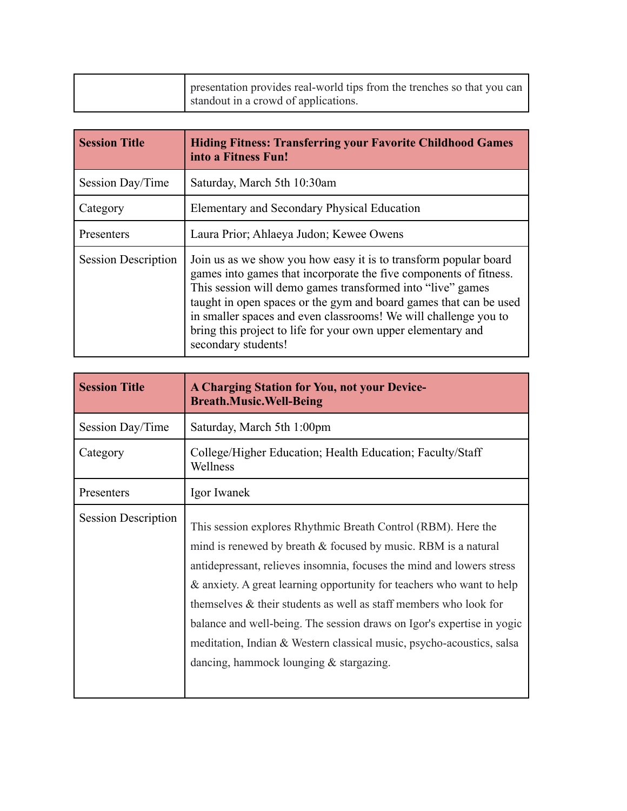| presentation provides real-world tips from the trenches so that you can<br>standout in a crowd of applications. |
|-----------------------------------------------------------------------------------------------------------------|
|                                                                                                                 |
|                                                                                                                 |

| <b>Session Title</b>       | <b>Hiding Fitness: Transferring your Favorite Childhood Games</b><br>into a Fitness Fun!                                                                                                                                                                                                                                                                                                                                           |
|----------------------------|------------------------------------------------------------------------------------------------------------------------------------------------------------------------------------------------------------------------------------------------------------------------------------------------------------------------------------------------------------------------------------------------------------------------------------|
| Session Day/Time           | Saturday, March 5th 10:30am                                                                                                                                                                                                                                                                                                                                                                                                        |
| Category                   | Elementary and Secondary Physical Education                                                                                                                                                                                                                                                                                                                                                                                        |
| Presenters                 | Laura Prior; Ahlaeya Judon; Kewee Owens                                                                                                                                                                                                                                                                                                                                                                                            |
| <b>Session Description</b> | Join us as we show you how easy it is to transform popular board<br>games into games that incorporate the five components of fitness.<br>This session will demo games transformed into "live" games<br>taught in open spaces or the gym and board games that can be used<br>in smaller spaces and even classrooms! We will challenge you to<br>bring this project to life for your own upper elementary and<br>secondary students! |

| <b>Session Title</b>       | <b>A Charging Station for You, not your Device-</b><br><b>Breath.Music.Well-Being</b>                                                                                                                                                                                                                                                                                                                                                                                                                                                                  |
|----------------------------|--------------------------------------------------------------------------------------------------------------------------------------------------------------------------------------------------------------------------------------------------------------------------------------------------------------------------------------------------------------------------------------------------------------------------------------------------------------------------------------------------------------------------------------------------------|
| Session Day/Time           | Saturday, March 5th 1:00pm                                                                                                                                                                                                                                                                                                                                                                                                                                                                                                                             |
| Category                   | College/Higher Education; Health Education; Faculty/Staff<br>Wellness                                                                                                                                                                                                                                                                                                                                                                                                                                                                                  |
| Presenters                 | Igor Iwanek                                                                                                                                                                                                                                                                                                                                                                                                                                                                                                                                            |
| <b>Session Description</b> | This session explores Rhythmic Breath Control (RBM). Here the<br>mind is renewed by breath & focused by music. RBM is a natural<br>antidepressant, relieves insomnia, focuses the mind and lowers stress<br>& anxiety. A great learning opportunity for teachers who want to help<br>themselves & their students as well as staff members who look for<br>balance and well-being. The session draws on Igor's expertise in yogic<br>meditation, Indian & Western classical music, psycho-acoustics, salsa<br>dancing, hammock lounging $&$ stargazing. |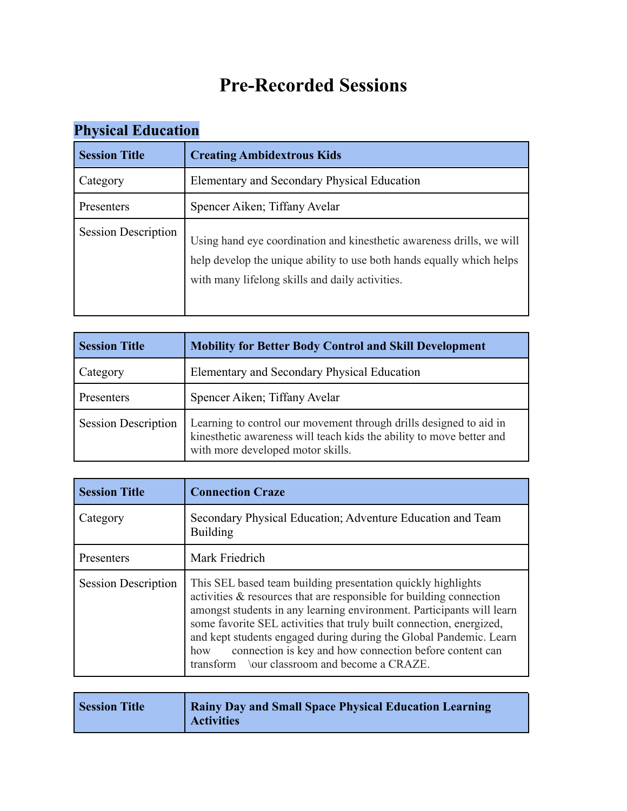# **Pre-Recorded Sessions**

| $\sim$ 11 $\mu$ because 23 at the correct of $\mu$ |                                                                                                                                                                                                   |
|----------------------------------------------------|---------------------------------------------------------------------------------------------------------------------------------------------------------------------------------------------------|
| <b>Session Title</b>                               | <b>Creating Ambidextrous Kids</b>                                                                                                                                                                 |
| Category                                           | Elementary and Secondary Physical Education                                                                                                                                                       |
| Presenters                                         | Spencer Aiken; Tiffany Avelar                                                                                                                                                                     |
| <b>Session Description</b>                         | Using hand eye coordination and kinesthetic awareness drills, we will<br>help develop the unique ability to use both hands equally which helps<br>with many lifelong skills and daily activities. |

# **Physical Education**

| <b>Session Title</b>       | <b>Mobility for Better Body Control and Skill Development</b>                                                                                                                   |
|----------------------------|---------------------------------------------------------------------------------------------------------------------------------------------------------------------------------|
| Category                   | Elementary and Secondary Physical Education                                                                                                                                     |
| Presenters                 | Spencer Aiken; Tiffany Avelar                                                                                                                                                   |
| <b>Session Description</b> | Learning to control our movement through drills designed to aid in<br>kinesthetic awareness will teach kids the ability to move better and<br>with more developed motor skills. |

| <b>Session Title</b>       | <b>Connection Craze</b>                                                                                                                                                                                                                                                                                                                                                                                                                                                      |
|----------------------------|------------------------------------------------------------------------------------------------------------------------------------------------------------------------------------------------------------------------------------------------------------------------------------------------------------------------------------------------------------------------------------------------------------------------------------------------------------------------------|
| Category                   | Secondary Physical Education; Adventure Education and Team<br><b>Building</b>                                                                                                                                                                                                                                                                                                                                                                                                |
| Presenters                 | Mark Friedrich                                                                                                                                                                                                                                                                                                                                                                                                                                                               |
| <b>Session Description</b> | This SEL based team building presentation quickly highlights<br>activities & resources that are responsible for building connection<br>amongst students in any learning environment. Participants will learn<br>some favorite SEL activities that truly built connection, energized,<br>and kept students engaged during during the Global Pandemic. Learn<br>connection is key and how connection before content can<br>how<br>transform \our classroom and become a CRAZE. |

| <b>Session Title</b> | <b>Rainy Day and Small Space Physical Education Learning</b><br><b>Activities</b> |
|----------------------|-----------------------------------------------------------------------------------|
|----------------------|-----------------------------------------------------------------------------------|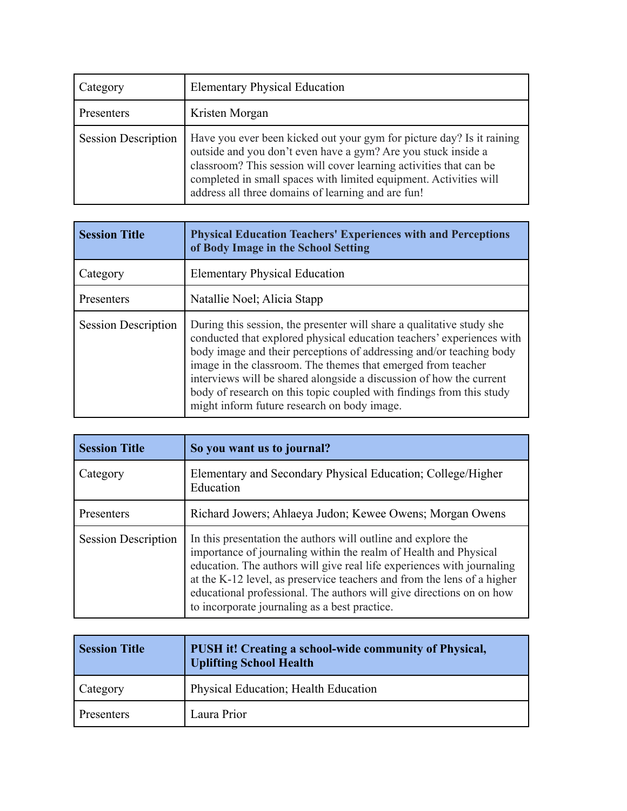| Category                   | <b>Elementary Physical Education</b>                                                                                                                                                                                                                                                                                                    |
|----------------------------|-----------------------------------------------------------------------------------------------------------------------------------------------------------------------------------------------------------------------------------------------------------------------------------------------------------------------------------------|
| Presenters                 | Kristen Morgan                                                                                                                                                                                                                                                                                                                          |
| <b>Session Description</b> | Have you ever been kicked out your gym for picture day? Is it raining<br>outside and you don't even have a gym? Are you stuck inside a<br>classroom? This session will cover learning activities that can be<br>completed in small spaces with limited equipment. Activities will<br>address all three domains of learning and are fun! |

| <b>Session Title</b>       | <b>Physical Education Teachers' Experiences with and Perceptions</b><br>of Body Image in the School Setting                                                                                                                                                                                                                                                                                                                                                                         |
|----------------------------|-------------------------------------------------------------------------------------------------------------------------------------------------------------------------------------------------------------------------------------------------------------------------------------------------------------------------------------------------------------------------------------------------------------------------------------------------------------------------------------|
| Category                   | <b>Elementary Physical Education</b>                                                                                                                                                                                                                                                                                                                                                                                                                                                |
| Presenters                 | Natallie Noel; Alicia Stapp                                                                                                                                                                                                                                                                                                                                                                                                                                                         |
| <b>Session Description</b> | During this session, the presenter will share a qualitative study she<br>conducted that explored physical education teachers' experiences with<br>body image and their perceptions of addressing and/or teaching body<br>image in the classroom. The themes that emerged from teacher<br>interviews will be shared alongside a discussion of how the current<br>body of research on this topic coupled with findings from this study<br>might inform future research on body image. |

| <b>Session Title</b>       | So you want us to journal?                                                                                                                                                                                                                                                                                                                                                                                      |
|----------------------------|-----------------------------------------------------------------------------------------------------------------------------------------------------------------------------------------------------------------------------------------------------------------------------------------------------------------------------------------------------------------------------------------------------------------|
| Category                   | Elementary and Secondary Physical Education; College/Higher<br>Education                                                                                                                                                                                                                                                                                                                                        |
| Presenters                 | Richard Jowers; Ahlaeya Judon; Kewee Owens; Morgan Owens                                                                                                                                                                                                                                                                                                                                                        |
| <b>Session Description</b> | In this presentation the authors will outline and explore the<br>importance of journaling within the realm of Health and Physical<br>education. The authors will give real life experiences with journaling<br>at the K-12 level, as preservice teachers and from the lens of a higher<br>educational professional. The authors will give directions on on how<br>to incorporate journaling as a best practice. |

| <b>Session Title</b> | PUSH it! Creating a school-wide community of Physical,<br><b>Uplifting School Health</b> |
|----------------------|------------------------------------------------------------------------------------------|
| Category             | Physical Education; Health Education                                                     |
| Presenters           | Laura Prior                                                                              |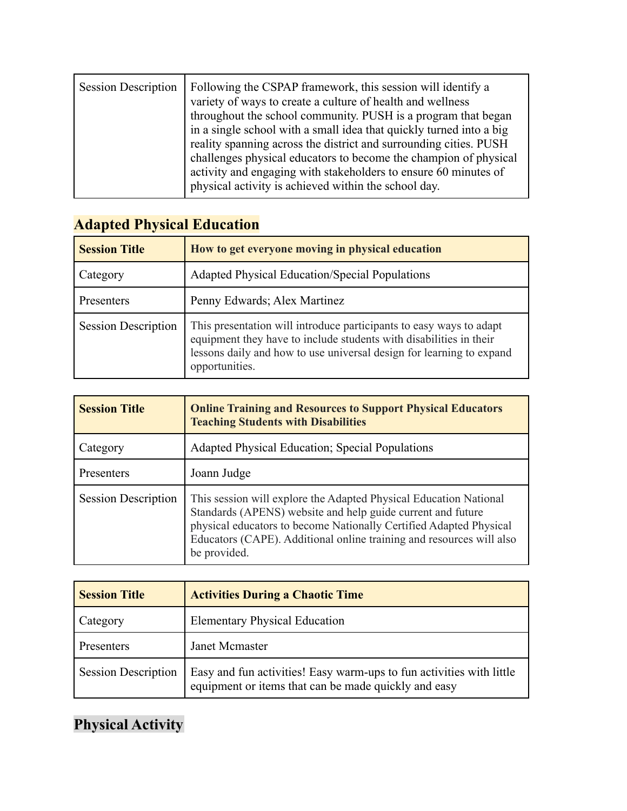| <b>Session Description</b> | Following the CSPAP framework, this session will identify a<br>variety of ways to create a culture of health and wellness<br>throughout the school community. PUSH is a program that began<br>in a single school with a small idea that quickly turned into a big<br>reality spanning across the district and surrounding cities. PUSH<br>challenges physical educators to become the champion of physical<br>activity and engaging with stakeholders to ensure 60 minutes of<br>physical activity is achieved within the school day. |
|----------------------------|---------------------------------------------------------------------------------------------------------------------------------------------------------------------------------------------------------------------------------------------------------------------------------------------------------------------------------------------------------------------------------------------------------------------------------------------------------------------------------------------------------------------------------------|
|                            |                                                                                                                                                                                                                                                                                                                                                                                                                                                                                                                                       |

| <b>Session Title</b>       | How to get everyone moving in physical education                                                                                                                                                                                    |
|----------------------------|-------------------------------------------------------------------------------------------------------------------------------------------------------------------------------------------------------------------------------------|
| Category                   | <b>Adapted Physical Education/Special Populations</b>                                                                                                                                                                               |
| Presenters                 | Penny Edwards; Alex Martinez                                                                                                                                                                                                        |
| <b>Session Description</b> | This presentation will introduce participants to easy ways to adapt<br>equipment they have to include students with disabilities in their<br>lessons daily and how to use universal design for learning to expand<br>opportunities. |

#### **Adapted Physical Education**

| <b>Session Title</b>       | <b>Online Training and Resources to Support Physical Educators</b><br><b>Teaching Students with Disabilities</b>                                                                                                                                                                               |
|----------------------------|------------------------------------------------------------------------------------------------------------------------------------------------------------------------------------------------------------------------------------------------------------------------------------------------|
| Category                   | Adapted Physical Education; Special Populations                                                                                                                                                                                                                                                |
| Presenters                 | Joann Judge                                                                                                                                                                                                                                                                                    |
| <b>Session Description</b> | This session will explore the Adapted Physical Education National<br>Standards (APENS) website and help guide current and future<br>physical educators to become Nationally Certified Adapted Physical<br>Educators (CAPE). Additional online training and resources will also<br>be provided. |

| <b>Session Title</b>       | <b>Activities During a Chaotic Time</b>                                                                                      |
|----------------------------|------------------------------------------------------------------------------------------------------------------------------|
| Category                   | <b>Elementary Physical Education</b>                                                                                         |
| Presenters                 | Janet Mcmaster                                                                                                               |
| <b>Session Description</b> | Easy and fun activities! Easy warm-ups to fun activities with little<br>equipment or items that can be made quickly and easy |

# **Physical Activity**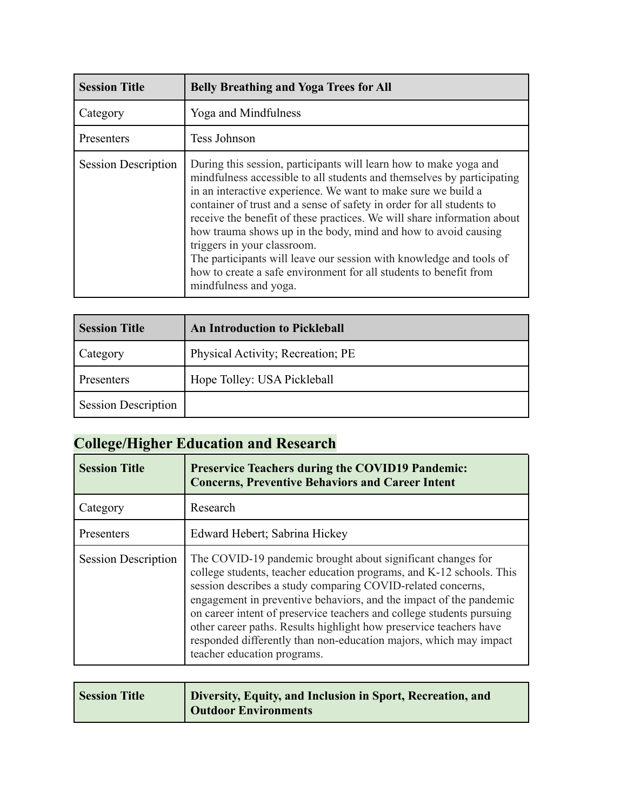| <b>Session Title</b>       | <b>Belly Breathing and Yoga Trees for All</b>                                                                                                                                                                                                                                                                                                                                                                                                                                                                                                                                                                                          |
|----------------------------|----------------------------------------------------------------------------------------------------------------------------------------------------------------------------------------------------------------------------------------------------------------------------------------------------------------------------------------------------------------------------------------------------------------------------------------------------------------------------------------------------------------------------------------------------------------------------------------------------------------------------------------|
| Category                   | Yoga and Mindfulness                                                                                                                                                                                                                                                                                                                                                                                                                                                                                                                                                                                                                   |
| Presenters                 | Tess Johnson                                                                                                                                                                                                                                                                                                                                                                                                                                                                                                                                                                                                                           |
| <b>Session Description</b> | During this session, participants will learn how to make yoga and<br>mindfulness accessible to all students and themselves by participating<br>in an interactive experience. We want to make sure we build a<br>container of trust and a sense of safety in order for all students to<br>receive the benefit of these practices. We will share information about<br>how trauma shows up in the body, mind and how to avoid causing<br>triggers in your classroom.<br>The participants will leave our session with knowledge and tools of<br>how to create a safe environment for all students to benefit from<br>mindfulness and yoga. |

| <b>Session Title</b>       | <b>An Introduction to Pickleball</b> |
|----------------------------|--------------------------------------|
| Category                   | Physical Activity; Recreation; PE    |
| Presenters                 | Hope Tolley: USA Pickleball          |
| <b>Session Description</b> |                                      |

# **College/Higher Education and Research**

| <b>Session Title</b>       | <b>Preservice Teachers during the COVID19 Pandemic:</b><br><b>Concerns, Preventive Behaviors and Career Intent</b>                                                                                                                                                                                                                                                                                                                                                                                                          |
|----------------------------|-----------------------------------------------------------------------------------------------------------------------------------------------------------------------------------------------------------------------------------------------------------------------------------------------------------------------------------------------------------------------------------------------------------------------------------------------------------------------------------------------------------------------------|
| Category                   | Research                                                                                                                                                                                                                                                                                                                                                                                                                                                                                                                    |
| Presenters                 | Edward Hebert; Sabrina Hickey                                                                                                                                                                                                                                                                                                                                                                                                                                                                                               |
| <b>Session Description</b> | The COVID-19 pandemic brought about significant changes for<br>college students, teacher education programs, and K-12 schools. This<br>session describes a study comparing COVID-related concerns,<br>engagement in preventive behaviors, and the impact of the pandemic<br>on career intent of preservice teachers and college students pursuing<br>other career paths. Results highlight how preservice teachers have<br>responded differently than non-education majors, which may impact<br>teacher education programs. |

| <b>Outdoor Environments</b> | Diversity, Equity, and Inclusion in Sport, Recreation, and |
|-----------------------------|------------------------------------------------------------|
|                             |                                                            |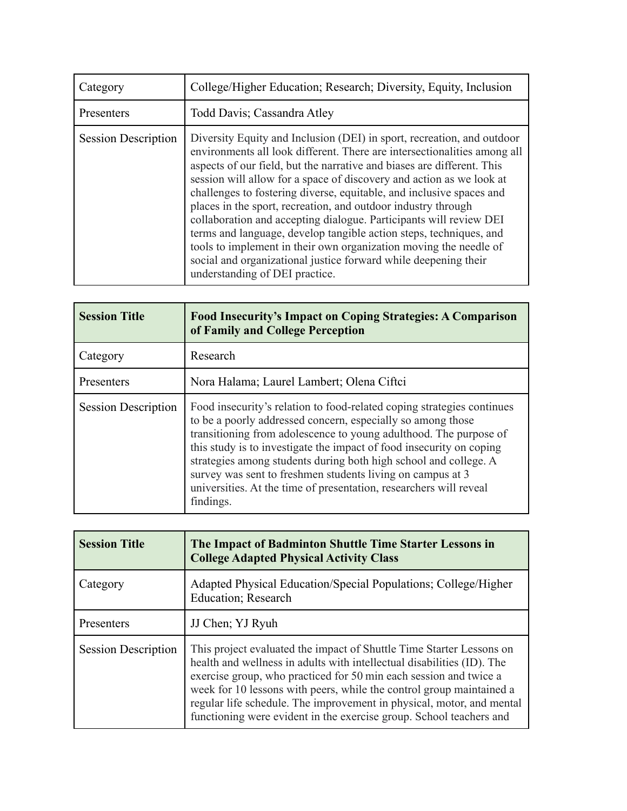| Category                   | College/Higher Education; Research; Diversity, Equity, Inclusion                                                                                                                                                                                                                                                                                                                                                                                                                                                                                                                                                                                                                                                                                                    |
|----------------------------|---------------------------------------------------------------------------------------------------------------------------------------------------------------------------------------------------------------------------------------------------------------------------------------------------------------------------------------------------------------------------------------------------------------------------------------------------------------------------------------------------------------------------------------------------------------------------------------------------------------------------------------------------------------------------------------------------------------------------------------------------------------------|
| Presenters                 | Todd Davis; Cassandra Atley                                                                                                                                                                                                                                                                                                                                                                                                                                                                                                                                                                                                                                                                                                                                         |
| <b>Session Description</b> | Diversity Equity and Inclusion (DEI) in sport, recreation, and outdoor<br>environments all look different. There are intersectionalities among all<br>aspects of our field, but the narrative and biases are different. This<br>session will allow for a space of discovery and action as we look at<br>challenges to fostering diverse, equitable, and inclusive spaces and<br>places in the sport, recreation, and outdoor industry through<br>collaboration and accepting dialogue. Participants will review DEI<br>terms and language, develop tangible action steps, techniques, and<br>tools to implement in their own organization moving the needle of<br>social and organizational justice forward while deepening their<br>understanding of DEI practice. |

| <b>Session Title</b>       | <b>Food Insecurity's Impact on Coping Strategies: A Comparison</b><br>of Family and College Perception                                                                                                                                                                                                                                                                                                                                                                                                  |
|----------------------------|---------------------------------------------------------------------------------------------------------------------------------------------------------------------------------------------------------------------------------------------------------------------------------------------------------------------------------------------------------------------------------------------------------------------------------------------------------------------------------------------------------|
| Category                   | Research                                                                                                                                                                                                                                                                                                                                                                                                                                                                                                |
| Presenters                 | Nora Halama; Laurel Lambert; Olena Ciftci                                                                                                                                                                                                                                                                                                                                                                                                                                                               |
| <b>Session Description</b> | Food insecurity's relation to food-related coping strategies continues<br>to be a poorly addressed concern, especially so among those<br>transitioning from adolescence to young adulthood. The purpose of<br>this study is to investigate the impact of food insecurity on coping<br>strategies among students during both high school and college. A<br>survey was sent to freshmen students living on campus at 3<br>universities. At the time of presentation, researchers will reveal<br>findings. |

| <b>Session Title</b>       | The Impact of Badminton Shuttle Time Starter Lessons in<br><b>College Adapted Physical Activity Class</b>                                                                                                                                                                                                                                                                                                                                   |
|----------------------------|---------------------------------------------------------------------------------------------------------------------------------------------------------------------------------------------------------------------------------------------------------------------------------------------------------------------------------------------------------------------------------------------------------------------------------------------|
| Category                   | Adapted Physical Education/Special Populations; College/Higher<br>Education; Research                                                                                                                                                                                                                                                                                                                                                       |
| Presenters                 | JJ Chen; YJ Ryuh                                                                                                                                                                                                                                                                                                                                                                                                                            |
| <b>Session Description</b> | This project evaluated the impact of Shuttle Time Starter Lessons on<br>health and wellness in adults with intellectual disabilities (ID). The<br>exercise group, who practiced for 50 min each session and twice a<br>week for 10 lessons with peers, while the control group maintained a<br>regular life schedule. The improvement in physical, motor, and mental<br>functioning were evident in the exercise group. School teachers and |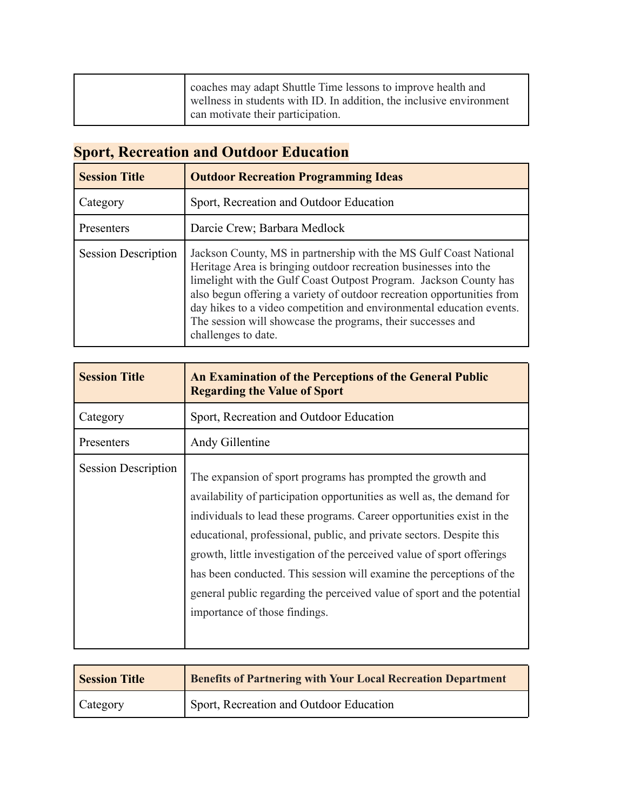|  | coaches may adapt Shuttle Time lessons to improve health and<br>wellness in students with ID. In addition, the inclusive environment<br>can motivate their participation. |
|--|---------------------------------------------------------------------------------------------------------------------------------------------------------------------------|
|--|---------------------------------------------------------------------------------------------------------------------------------------------------------------------------|

# **Sport, Recreation and Outdoor Education**

| <b>Session Title</b>       | <b>Outdoor Recreation Programming Ideas</b>                                                                                                                                                                                                                                                                                                                                                                                                        |
|----------------------------|----------------------------------------------------------------------------------------------------------------------------------------------------------------------------------------------------------------------------------------------------------------------------------------------------------------------------------------------------------------------------------------------------------------------------------------------------|
| Category                   | Sport, Recreation and Outdoor Education                                                                                                                                                                                                                                                                                                                                                                                                            |
| Presenters                 | Darcie Crew; Barbara Medlock                                                                                                                                                                                                                                                                                                                                                                                                                       |
| <b>Session Description</b> | Jackson County, MS in partnership with the MS Gulf Coast National<br>Heritage Area is bringing outdoor recreation businesses into the<br>limelight with the Gulf Coast Outpost Program. Jackson County has<br>also begun offering a variety of outdoor recreation opportunities from<br>day hikes to a video competition and environmental education events.<br>The session will showcase the programs, their successes and<br>challenges to date. |

| <b>Session Title</b>       | An Examination of the Perceptions of the General Public<br><b>Regarding the Value of Sport</b>                                                                                                                                                                                                                                                                                                                                                                                                                                                       |
|----------------------------|------------------------------------------------------------------------------------------------------------------------------------------------------------------------------------------------------------------------------------------------------------------------------------------------------------------------------------------------------------------------------------------------------------------------------------------------------------------------------------------------------------------------------------------------------|
| Category                   | Sport, Recreation and Outdoor Education                                                                                                                                                                                                                                                                                                                                                                                                                                                                                                              |
| Presenters                 | Andy Gillentine                                                                                                                                                                                                                                                                                                                                                                                                                                                                                                                                      |
| <b>Session Description</b> | The expansion of sport programs has prompted the growth and<br>availability of participation opportunities as well as, the demand for<br>individuals to lead these programs. Career opportunities exist in the<br>educational, professional, public, and private sectors. Despite this<br>growth, little investigation of the perceived value of sport offerings<br>has been conducted. This session will examine the perceptions of the<br>general public regarding the perceived value of sport and the potential<br>importance of those findings. |

| <b>Session Title</b> | <b>Benefits of Partnering with Your Local Recreation Department</b> |
|----------------------|---------------------------------------------------------------------|
| Category             | Sport, Recreation and Outdoor Education                             |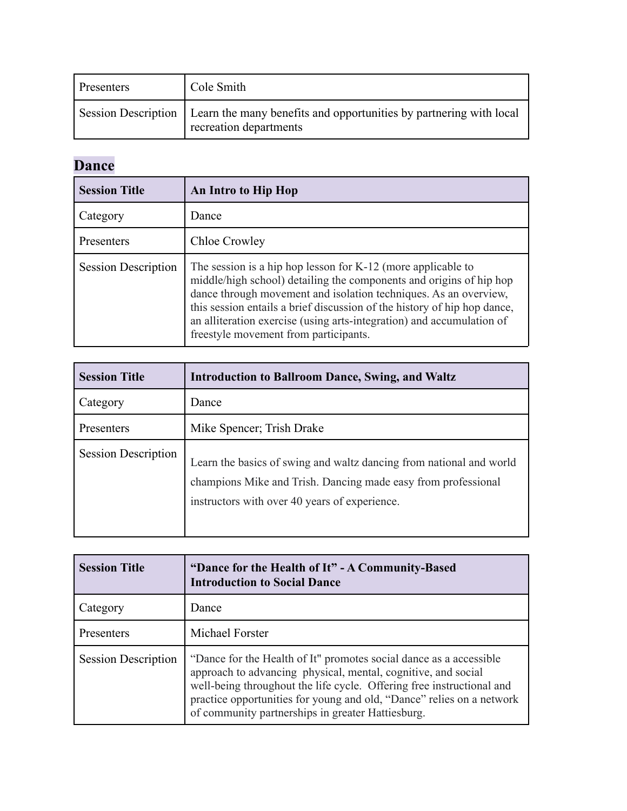| <b>Presenters</b> | Cole Smith                                                                                                         |
|-------------------|--------------------------------------------------------------------------------------------------------------------|
|                   | Session Description   Learn the many benefits and opportunities by partnering with local<br>recreation departments |

# **Dance**

| <b>Session Title</b>       | An Intro to Hip Hop                                                                                                                                                                                                                                                                                                                                                                                     |
|----------------------------|---------------------------------------------------------------------------------------------------------------------------------------------------------------------------------------------------------------------------------------------------------------------------------------------------------------------------------------------------------------------------------------------------------|
| Category                   | Dance                                                                                                                                                                                                                                                                                                                                                                                                   |
| Presenters                 | Chloe Crowley                                                                                                                                                                                                                                                                                                                                                                                           |
| <b>Session Description</b> | The session is a hip hop lesson for $K-12$ (more applicable to<br>middle/high school) detailing the components and origins of hip hop<br>dance through movement and isolation techniques. As an overview,<br>this session entails a brief discussion of the history of hip hop dance,<br>an alliteration exercise (using arts-integration) and accumulation of<br>freestyle movement from participants. |

| <b>Session Title</b>       | <b>Introduction to Ballroom Dance, Swing, and Waltz</b>                                                                                                                               |
|----------------------------|---------------------------------------------------------------------------------------------------------------------------------------------------------------------------------------|
| Category                   | Dance                                                                                                                                                                                 |
| Presenters                 | Mike Spencer; Trish Drake                                                                                                                                                             |
| <b>Session Description</b> | Learn the basics of swing and waltz dancing from national and world<br>champions Mike and Trish. Dancing made easy from professional<br>instructors with over 40 years of experience. |

| <b>Session Title</b>       | "Dance for the Health of It" - A Community-Based<br><b>Introduction to Social Dance</b>                                                                                                                                                                                                                                                    |
|----------------------------|--------------------------------------------------------------------------------------------------------------------------------------------------------------------------------------------------------------------------------------------------------------------------------------------------------------------------------------------|
| Category                   | Dance                                                                                                                                                                                                                                                                                                                                      |
| Presenters                 | Michael Forster                                                                                                                                                                                                                                                                                                                            |
| <b>Session Description</b> | "Dance for the Health of It" promotes social dance as a accessible<br>approach to advancing physical, mental, cognitive, and social<br>well-being throughout the life cycle. Offering free instructional and<br>practice opportunities for young and old, "Dance" relies on a network<br>of community partnerships in greater Hattiesburg. |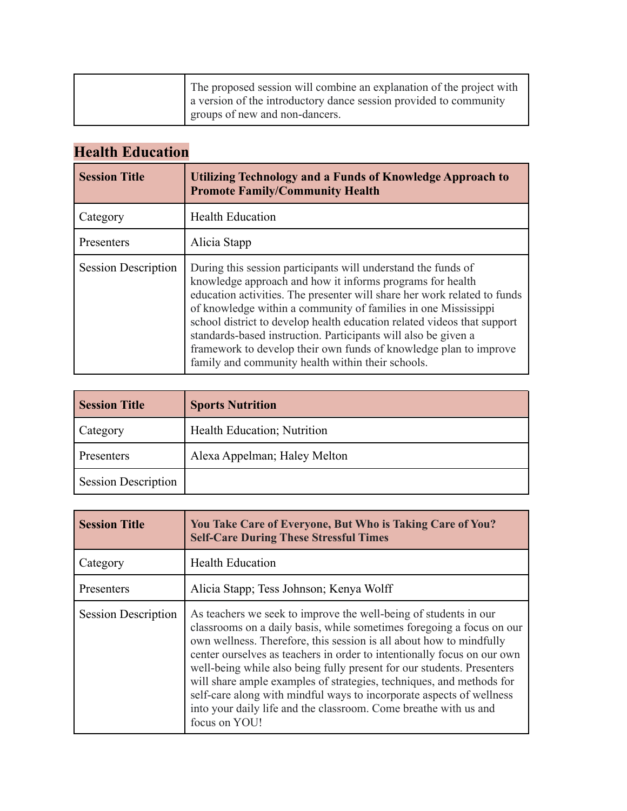| a version of the introductory dance session provided to community<br>groups of new and non-dancers. |
|-----------------------------------------------------------------------------------------------------|
|-----------------------------------------------------------------------------------------------------|

### **Health Education**

| <b>Session Title</b>       | Utilizing Technology and a Funds of Knowledge Approach to<br><b>Promote Family/Community Health</b>                                                                                                                                                                                                                                                                                                                                                                                                                                             |
|----------------------------|-------------------------------------------------------------------------------------------------------------------------------------------------------------------------------------------------------------------------------------------------------------------------------------------------------------------------------------------------------------------------------------------------------------------------------------------------------------------------------------------------------------------------------------------------|
| Category                   | <b>Health Education</b>                                                                                                                                                                                                                                                                                                                                                                                                                                                                                                                         |
| Presenters                 | Alicia Stapp                                                                                                                                                                                                                                                                                                                                                                                                                                                                                                                                    |
| <b>Session Description</b> | During this session participants will understand the funds of<br>knowledge approach and how it informs programs for health<br>education activities. The presenter will share her work related to funds<br>of knowledge within a community of families in one Mississippi<br>school district to develop health education related videos that support<br>standards-based instruction. Participants will also be given a<br>framework to develop their own funds of knowledge plan to improve<br>family and community health within their schools. |

| <b>Session Title</b>       | <b>Sports Nutrition</b>      |
|----------------------------|------------------------------|
| <b>Category</b>            | Health Education; Nutrition  |
| Presenters                 | Alexa Appelman; Haley Melton |
| <b>Session Description</b> |                              |

| <b>Session Title</b>       | You Take Care of Everyone, But Who is Taking Care of You?<br><b>Self-Care During These Stressful Times</b>                                                                                                                                                                                                                                                                                                                                                                                                                                                                                                 |
|----------------------------|------------------------------------------------------------------------------------------------------------------------------------------------------------------------------------------------------------------------------------------------------------------------------------------------------------------------------------------------------------------------------------------------------------------------------------------------------------------------------------------------------------------------------------------------------------------------------------------------------------|
| Category                   | <b>Health Education</b>                                                                                                                                                                                                                                                                                                                                                                                                                                                                                                                                                                                    |
| Presenters                 | Alicia Stapp; Tess Johnson; Kenya Wolff                                                                                                                                                                                                                                                                                                                                                                                                                                                                                                                                                                    |
| <b>Session Description</b> | As teachers we seek to improve the well-being of students in our<br>classrooms on a daily basis, while sometimes foregoing a focus on our<br>own wellness. Therefore, this session is all about how to mindfully<br>center ourselves as teachers in order to intentionally focus on our own<br>well-being while also being fully present for our students. Presenters<br>will share ample examples of strategies, techniques, and methods for<br>self-care along with mindful ways to incorporate aspects of wellness<br>into your daily life and the classroom. Come breathe with us and<br>focus on YOU! |